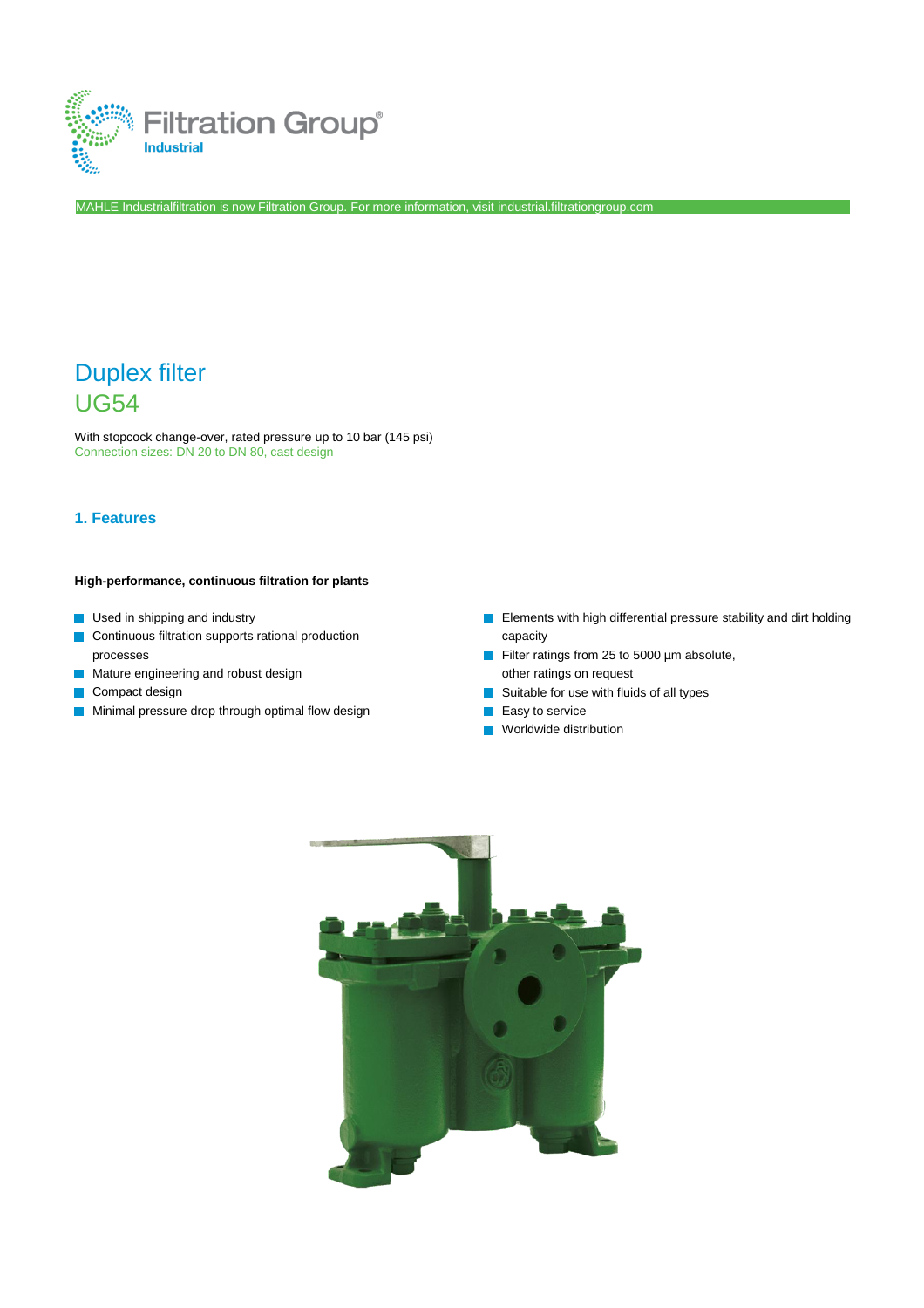

MAHLE Industrialfiltration is now Filtration Group. For more information, visit [industrial.filtrationgroup.com](http://www.fluid.filtrationgroup.com/)

# Duplex filter UG54

With stopcock change-over, rated pressure up to 10 bar (145 psi) Connection sizes: DN 20 to DN 80, cast design

## **1. Features**

#### **High-performance, continuous filtration for plants**

- **Used in shipping and industry**
- Continuous filtration supports rational production processes
- **Mature engineering and robust design**
- Compact design
- **Minimal pressure drop through optimal flow design**
- **Elements with high differential pressure stability and dirt holding** capacity
- Filter ratings from 25 to 5000 µm absolute,  $\Box$ other ratings on request
- $\mathcal{C}^{\mathcal{A}}$ Suitable for use with fluids of all types
- Easy to service  $\mathcal{C}^{\mathcal{A}}$
- Worldwide distribution $\overline{\phantom{a}}$

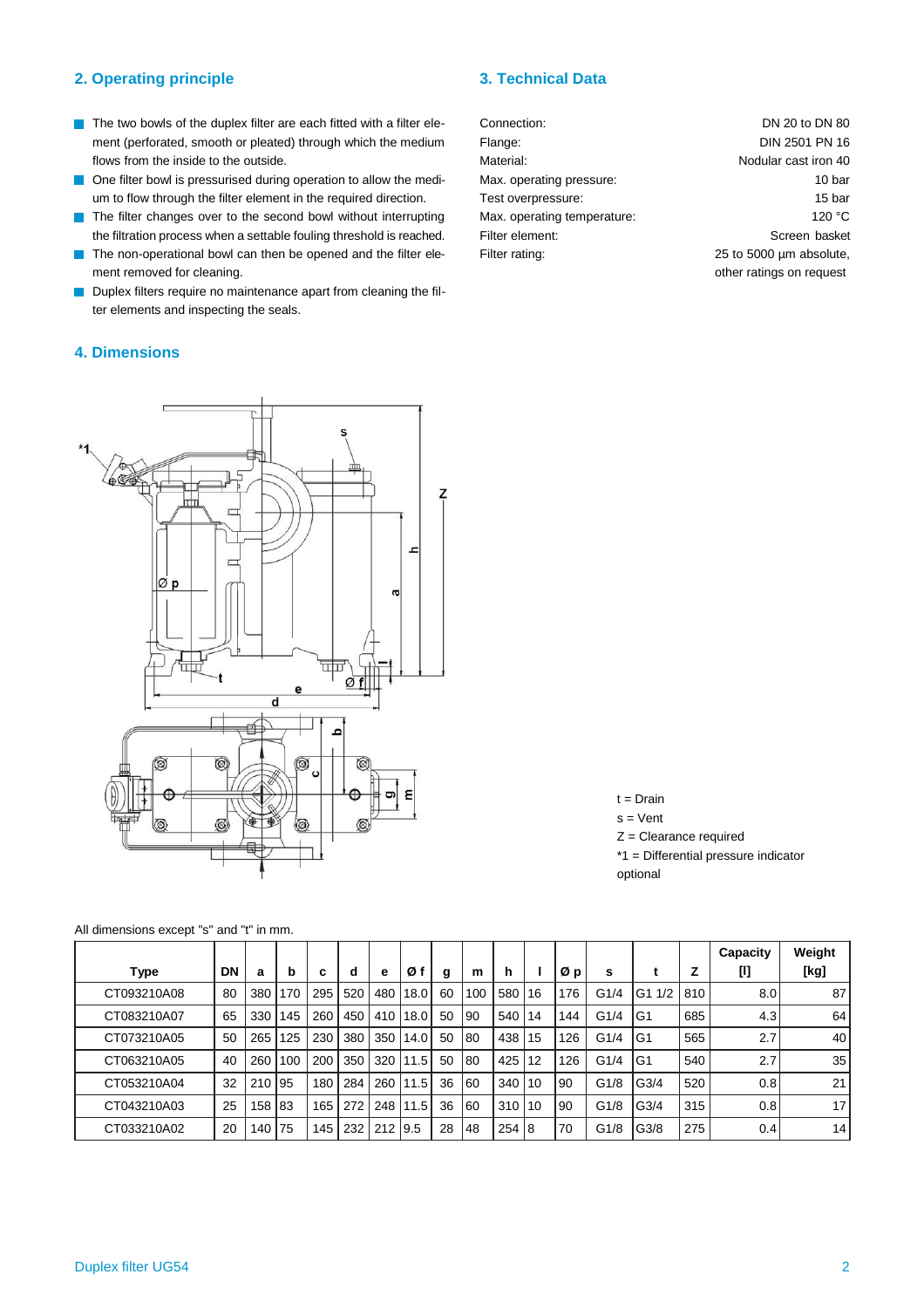### **2. Operating principle 3. Technical Data**

- $\blacksquare$  The two bowls of the duplex filter are each fitted with a filter element (perforated, smooth or pleated) through which the medium flows from the inside to the outside.
- One filter bowl is pressurised during operation to allow the medium to flow through the filter element in the required direction.
- The filter changes over to the second bowl without interrupting  $\mathcal{C}^{\mathcal{A}}$ the filtration process when a settable fouling threshold is reached.
- The non-operational bowl can then be opened and the filter ele- $\mathcal{C}^{\mathcal{A}}$ ment removed for cleaning.
- $\mathcal{C}^{\mathcal{A}}$ Duplex filters require no maintenance apart from cleaning the filter elements and inspecting the seals.

#### **4. Dimensions**

Connection: Flange: Material: Max. operating pressure: Test overpressure: Max. operating temperature: Filter element: Filter rating: DN 20 to DN 80 DIN 2501 PN 16 Nodular cast iron 40 10 bar 15 bar 120 °C Screen basket 25 to 5000 µm absolute, other ratings on request

'n <sub>2</sub>  $\overline{C}$  $\varnothing$  p प्रोण Øf d € م  $\circledR$ Q C ε ۱ ◙ 0 長



 $t = Drain$  $s =$ Vent

Z = Clearance required

\*1 = Differential pressure indicator

optional

**Type DN a b c d e Ø f g m h l Ø p s t Z Capacity [l] Weight [kg]** CT093210A08 | 80 | 380 | 170 | 295 | 520 | 480 | 18.0 | 60 | 100 | 580 | 16 | 176 | G1/4 |G1 1/2 | 810 | 8 CT083210A07 | 65 | 330 | 145 | 260 | 450 | 410 | 18.0 | 50 | 90 | 540 | 14 | 144 | G1/4 | G1 | 685 | 4.3 | 64 CT073210A05 | 50 | 265 | 125 | 230 | 380 | 350 | 14.0 | 50 | 80 | 438 | 15 | 126 | G1/4 | G1 | 565 | 2.7 | 40 CT063210A05 | 40 | 260 | 100 | 200 | 350 | 320 | 11.5 | 50 | 80 | 425 | 12 | 126 | G1/4 | G1 | 540 | 2.7 | 35 CT053210A04 | 32 | 210 | 95 | 180 | 284 | 260 | 11.5 | 36 | 60 | 340 | 10 | 90 | G1/8 | G3/4 | 520 | 0.8 | 21 CT043210A03 | 25 | 158 |83 | 165 | 272 | 248 | 11.5 | 36 | 60 | 310 | 10 | 90 | G1/8 | G3/4 | 315 | 0.8 | 17 CT033210A02 | 20 | 140 | 75 | 145 | 232 | 212 | 9.5 | 28 | 48 | 254 | 8 | 70 | G1/8 | G3/8 | 275 | 0.4 | 14

All dimensions except "s" and "t" in mm.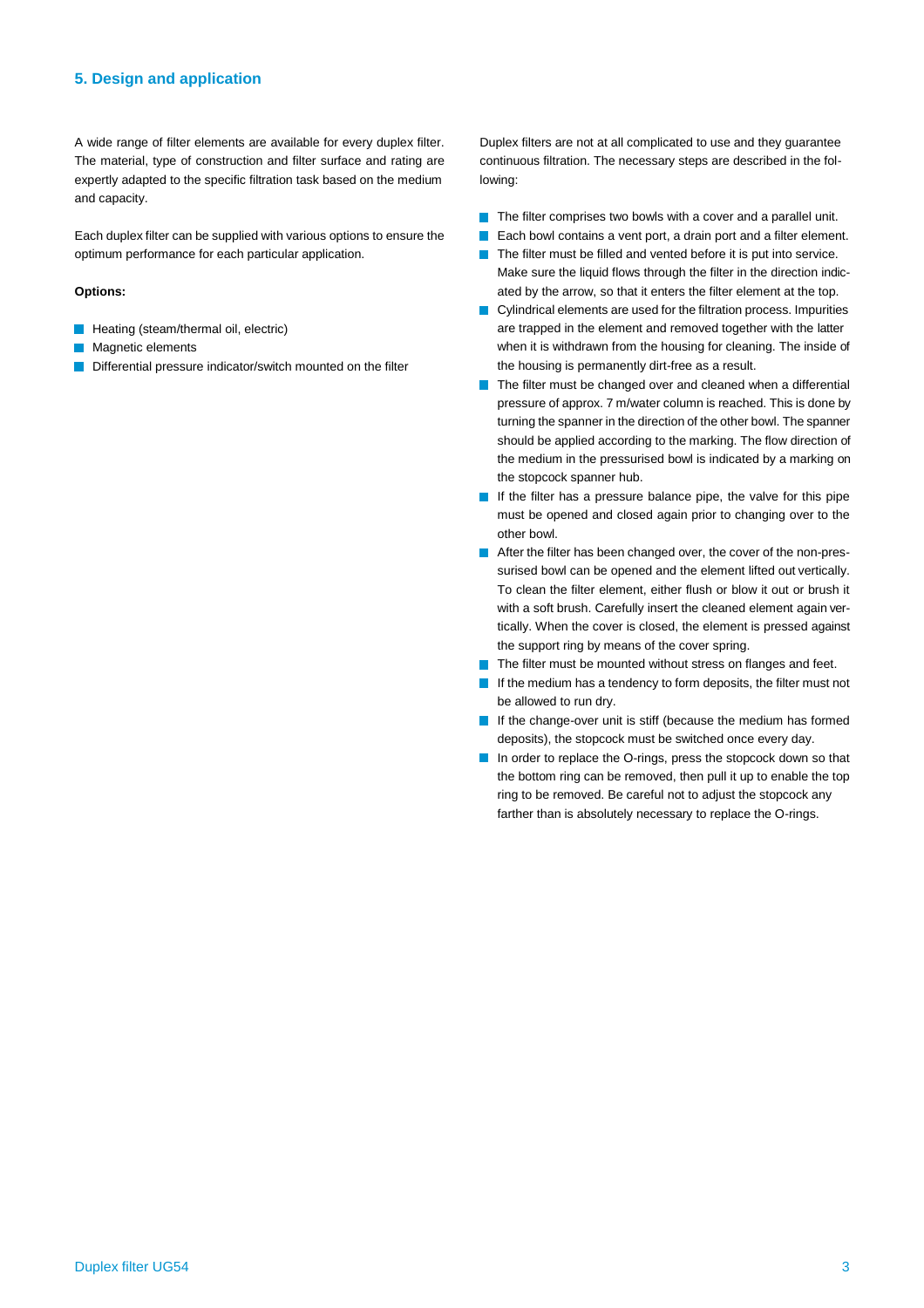#### **5. Design and application**

A wide range of filter elements are available for every duplex filter. The material, type of construction and filter surface and rating are expertly adapted to the specific filtration task based on the medium and capacity.

Each duplex filter can be supplied with various options to ensure the optimum performance for each particular application.

#### **Options:**

- **Heating (steam/thermal oil, electric)**
- Magnetic elements
- Differential pressure indicator/switch mounted on the filter

Duplex filters are not at all complicated to use and they guarantee continuous filtration. The necessary steps are described in the following:

- $\blacksquare$  The filter comprises two bowls with a cover and a parallel unit.
- Each bowl contains a vent port, a drain port and a filter element. T.
- The filter must be filled and vented before it is put into service. T Make sure the liquid flows through the filter in the direction indicated by the arrow, so that it enters the filter element at the top.
- Cylindrical elements are used for the filtration process. Impurities are trapped in the element and removed together with the latter when it is withdrawn from the housing for cleaning. The inside of the housing is permanently dirt-free as a result.
- The filter must be changed over and cleaned when a differential **T** pressure of approx. 7 m/water column is reached. This is done by turning the spanner in the direction of the other bowl. The spanner should be applied according to the marking. The flow direction of the medium in the pressurised bowl is indicated by a marking on the stopcock spanner hub.
- If the filter has a pressure balance pipe, the valve for this pipe must be opened and closed again prior to changing over to the other bowl.
- After the filter has been changed over, the cover of the non-pressurised bowl can be opened and the element lifted out vertically. To clean the filter element, either flush or blow it out or brush it with a soft brush. Carefully insert the cleaned element again vertically. When the cover is closed, the element is pressed against the support ring by means of the cover spring.
- The filter must be mounted without stress on flanges and feet. **Tale**
- If the medium has a tendency to form deposits, the filter must not be allowed to run dry.
- If the change-over unit is stiff (because the medium has formed deposits), the stopcock must be switched once every day.
- In order to replace the O-rings, press the stopcock down so that the bottom ring can be removed, then pull it up to enable the top ring to be removed. Be careful not to adjust the stopcock any farther than is absolutely necessary to replace the O-rings.